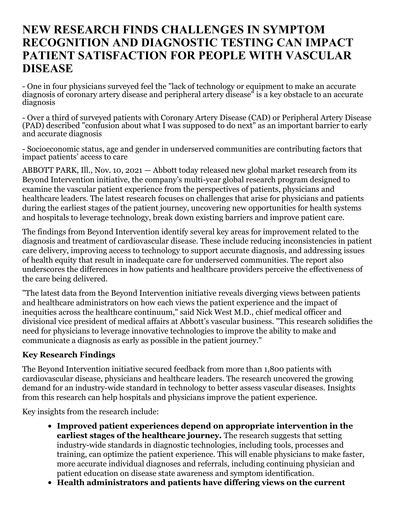# **NEW RESEARCH FINDS CHALLENGES IN SYMPTOM RECOGNITION AND DIAGNOSTIC TESTING CAN IMPACT PATIENT SATISFACTION FOR PEOPLE WITH VASCULAR DISEASE**

- One in four physicians surveyed feel the "lack of technology or equipment to make an accurate diagnosis of coronary artery disease and peripheral artery disease" is a key obstacle to an accurate diagnosis

- Over a third of surveyed patients with Coronary Artery Disease (CAD) or Peripheral Artery Disease (PAD) described "confusion about what I was supposed to do next" as an important barrier to early and accurate diagnosis

- Socioeconomic status, age and gender in underserved communities are contributing factors that impact patients' access to care

ABBOTT PARK, Ill., Nov. 10, 2021 — Abbott today released new global market research from its Beyond Intervention initiative, the company's multi-year global research program designed to examine the vascular patient experience from the perspectives of patients, physicians and healthcare leaders. The latest research focuses on challenges that arise for physicians and patients during the earliest stages of the patient journey, uncovering new opportunities for health systems and hospitals to leverage technology, break down existing barriers and improve patient care.

The findings from Beyond Intervention identify several key areas for improvement related to the diagnosis and treatment of cardiovascular disease. These include reducing inconsistencies in patient care delivery, improving access to technology to support accurate diagnosis, and addressing issues of health equity that result in inadequate care for underserved communities. The report also underscores the differences in how patients and healthcare providers perceive the effectiveness of the care being delivered.

"The latest data from the Beyond Intervention initiative reveals diverging views between patients and healthcare administrators on how each views the patient experience and the impact of inequities across the healthcare continuum," said Nick West M.D., chief medical officer and divisional vice president of medical affairs at Abbott's vascular business. "This research solidifies the need for physicians to leverage innovative technologies to improve the ability to make and communicate a diagnosis as early as possible in the patient journey."

### **Key Research Findings**

The Beyond Intervention initiative secured feedback from more than 1,800 patients with cardiovascular disease, physicians and healthcare leaders. The research uncovered the growing demand for an industry-wide standard in technology to better assess vascular diseases. Insights from this research can help hospitals and physicians improve the patient experience.

Key insights from the research include:

- **Improved patient experiences depend on appropriate intervention in the earliest stages of the healthcare journey.** The research suggests that setting industry-wide standards in diagnostic technologies, including tools, processes and training, can optimize the patient experience. This will enable physicians to make faster, more accurate individual diagnoses and referrals, including continuing physician and patient education on disease state awareness and symptom identification.
- **Health administrators and patients have differing views on the current**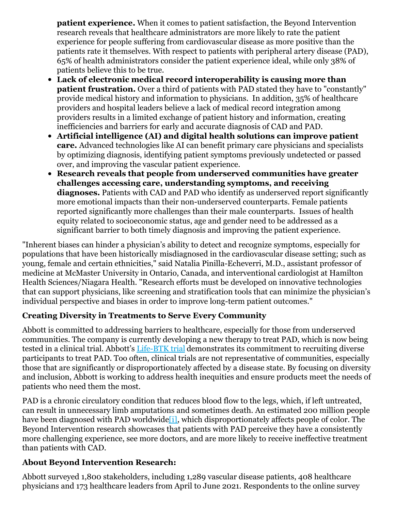**patient experience.** When it comes to patient satisfaction, the Beyond Intervention research reveals that healthcare administrators are more likely to rate the patient experience for people suffering from cardiovascular disease as more positive than the patients rate it themselves. With respect to patients with peripheral artery disease (PAD), 65% of health administrators consider the patient experience ideal, while only 38% of patients believe this to be true.

- **Lack of electronic medical record interoperability is causing more than patient frustration.** Over a third of patients with PAD stated they have to "constantly" provide medical history and information to physicians. In addition, 35% of healthcare providers and hospital leaders believe a lack of medical record integration among providers results in a limited exchange of patient history and information, creating inefficiencies and barriers for early and accurate diagnosis of CAD and PAD.
- **Artificial intelligence (AI) and digital health solutions can improve patient care.** Advanced technologies like AI can benefit primary care physicians and specialists by optimizing diagnosis, identifying patient symptoms previously undetected or passed over, and improving the vascular patient experience.
- **Research reveals that people from underserved communities have greater challenges accessing care, understanding symptoms, and receiving diagnoses.** Patients with CAD and PAD who identify as underserved report significantly more emotional impacts than their non-underserved counterparts. Female patients reported significantly more challenges than their male counterparts. Issues of health equity related to socioeconomic status, age and gender need to be addressed as a significant barrier to both timely diagnosis and improving the patient experience.

"Inherent biases can hinder a physician's ability to detect and recognize symptoms, especially for populations that have been historically misdiagnosed in the cardiovascular disease setting; such as young, female and certain ethnicities," said Natalia Pinilla-Echeverri, M.D., assistant professor of medicine at McMaster University in Ontario, Canada, and interventional cardiologist at Hamilton Health Sciences/Niagara Health. "Research efforts must be developed on innovative technologies that can support physicians, like screening and stratification tools that can minimize the physician's individual perspective and biases in order to improve long-term patient outcomes."

### **Creating Diversity in Treatments to Serve Every Community**

Abbott is committed to addressing barriers to healthcare, especially for those from underserved communities. The company is currently developing a new therapy to treat PAD, which is now being tested in a clinical trial. Abbott's [Life-BTK](https://clinicaltrials.gov/ct2/show/NCT04227899) trial demonstrates its commitment to recruiting diverse participants to treat PAD. Too often, clinical trials are not representative of communities, especially those that are significantly or disproportionately affected by a disease state. By focusing on diversity and inclusion, Abbott is working to address health inequities and ensure products meet the needs of patients who need them the most.

<span id="page-1-0"></span>PAD is a chronic circulatory condition that reduces blood flow to the legs, which, if left untreated, can result in unnecessary limb amputations and sometimes death. An estimated 200 million people have been diagnosed with PAD worldwide i., which disproportionately affects people of color. The Beyond Intervention research showcases that patients with PAD perceive they have a consistently more challenging experience, see more doctors, and are more likely to receive ineffective treatment than patients with CAD.

## **About Beyond Intervention Research:**

Abbott surveyed 1,800 stakeholders, including 1,289 vascular disease patients, 408 healthcare physicians and 173 healthcare leaders from April to June 2021. Respondents to the online survey